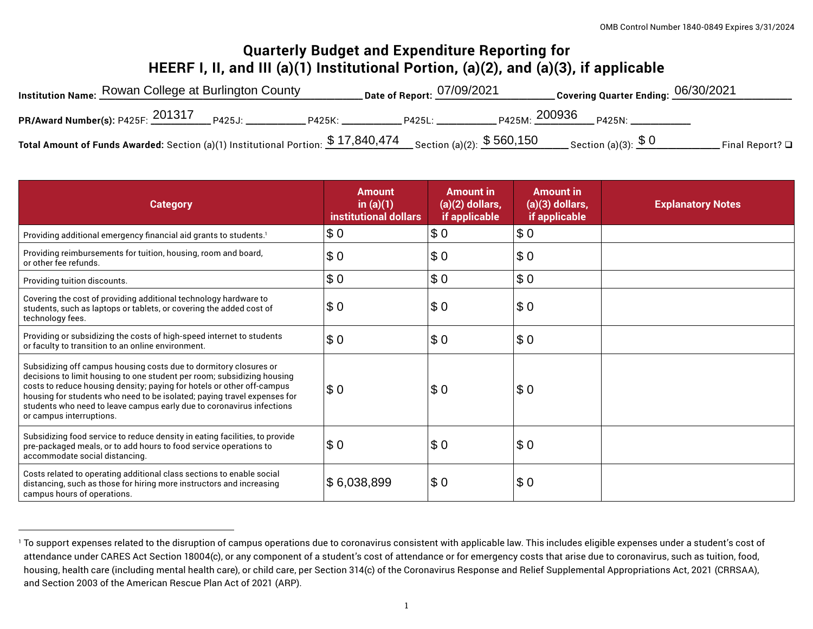# **Quarterly Budget and Expenditure Reporting for HEERF I, II, and III (a)(1) Institutional Portion, (a)(2), and (a)(3), if applicable**

| Institution Name: Rowan College at Burlington County                                                          | . Date of Report: $\frac{07/09/2021}{2}$ | Covering Quarter Ending: $06/30/2021$      |                         |
|---------------------------------------------------------------------------------------------------------------|------------------------------------------|--------------------------------------------|-------------------------|
| PR/Award Number(s): P425F: 201317 P425J:<br>P425K: 2005                                                       | P425L:                                   | <sub>P425M:</sub> 200936 <sub>P425N:</sub> |                         |
| Total Amount of Funds Awarded: Section (a)(1) Institutional Portion: $$17,840,474$ Section (a)(2): $$560,150$ |                                          | $\_$ Section (a)(3): $\frac{\$~0}{\$~0}$   | Final Report? $\square$ |

| <b>Category</b>                                                                                                                                                                                                                                                                                                                                                                                         | <b>Amount</b><br>in $(a)(1)$<br>institutional dollars | <b>Amount in</b><br>$(a)(2)$ dollars,<br>if applicable | <b>Amount in</b><br>$(a)(3)$ dollars,<br>if applicable | <b>Explanatory Notes</b> |
|---------------------------------------------------------------------------------------------------------------------------------------------------------------------------------------------------------------------------------------------------------------------------------------------------------------------------------------------------------------------------------------------------------|-------------------------------------------------------|--------------------------------------------------------|--------------------------------------------------------|--------------------------|
| Providing additional emergency financial aid grants to students. <sup>1</sup>                                                                                                                                                                                                                                                                                                                           | \$0                                                   | \$0                                                    | \$0                                                    |                          |
| Providing reimbursements for tuition, housing, room and board,<br>or other fee refunds.                                                                                                                                                                                                                                                                                                                 | \$0                                                   | \$0                                                    | \$0                                                    |                          |
| Providing tuition discounts.                                                                                                                                                                                                                                                                                                                                                                            | \$0                                                   | \$0                                                    | \$0                                                    |                          |
| Covering the cost of providing additional technology hardware to<br>students, such as laptops or tablets, or covering the added cost of<br>technology fees.                                                                                                                                                                                                                                             | \$0                                                   | \$0                                                    | \$0                                                    |                          |
| Providing or subsidizing the costs of high-speed internet to students<br>or faculty to transition to an online environment.                                                                                                                                                                                                                                                                             | \$0                                                   | \$0                                                    | \$0                                                    |                          |
| Subsidizing off campus housing costs due to dormitory closures or<br>decisions to limit housing to one student per room; subsidizing housing<br>costs to reduce housing density; paying for hotels or other off-campus<br>housing for students who need to be isolated; paying travel expenses for<br>students who need to leave campus early due to coronavirus infections<br>or campus interruptions. | \$0                                                   | \$0                                                    | \$0                                                    |                          |
| Subsidizing food service to reduce density in eating facilities, to provide<br>pre-packaged meals, or to add hours to food service operations to<br>accommodate social distancing.                                                                                                                                                                                                                      | \$0                                                   | \$0                                                    | \$0                                                    |                          |
| Costs related to operating additional class sections to enable social<br>distancing, such as those for hiring more instructors and increasing<br>campus hours of operations.                                                                                                                                                                                                                            | \$6,038,899                                           | \$0                                                    | \$0                                                    |                          |

<sup>&</sup>lt;sup>1</sup> To support expenses related to the disruption of campus operations due to coronavirus consistent with applicable law. This includes eligible expenses under a student's cost of attendance under CARES Act Section 18004(c), or any component of a student's cost of attendance or for emergency costs that arise due to coronavirus, such as tuition, food, housing, health care (including mental health care), or child care, per Section 314(c) of the Coronavirus Response and Relief Supplemental Appropriations Act, 2021 (CRRSAA), and Section 2003 of the American Rescue Plan Act of 2021 (ARP).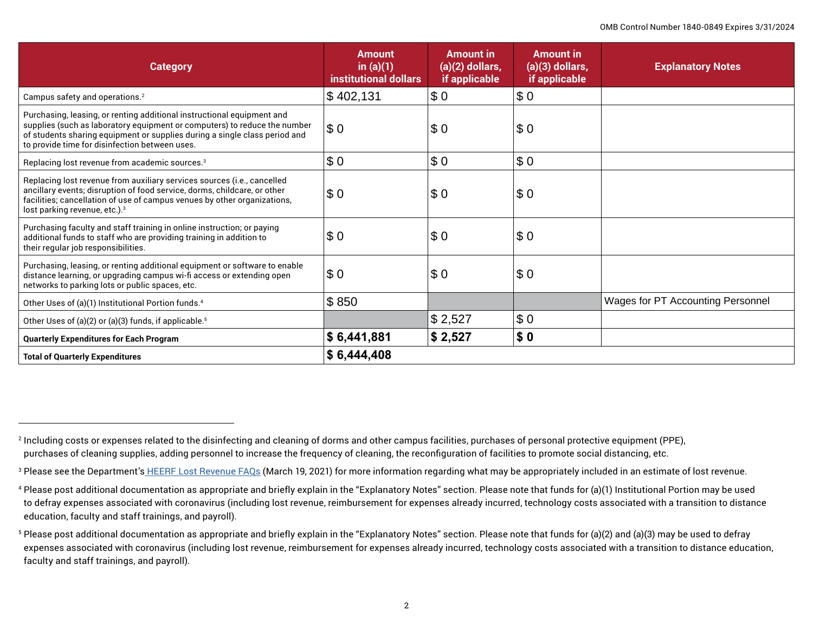| <b>Category</b>                                                                                                                                                                                                                                                                     | <b>Amount</b><br>in $(a)(1)$<br>institutional dollars | <b>Amount in</b><br>$(a)(2)$ dollars,<br>if applicable | <b>Amount in</b><br>$(a)(3)$ dollars,<br>if applicable | <b>Explanatory Notes</b>          |
|-------------------------------------------------------------------------------------------------------------------------------------------------------------------------------------------------------------------------------------------------------------------------------------|-------------------------------------------------------|--------------------------------------------------------|--------------------------------------------------------|-----------------------------------|
| Campus safety and operations. <sup>2</sup>                                                                                                                                                                                                                                          | \$402,131                                             | \$0                                                    | \$0                                                    |                                   |
| Purchasing, leasing, or renting additional instructional equipment and<br>supplies (such as laboratory equipment or computers) to reduce the number<br>of students sharing equipment or supplies during a single class period and<br>to provide time for disinfection between uses. | \$0                                                   | $ \$0$                                                 | \$0                                                    |                                   |
| Replacing lost revenue from academic sources. <sup>3</sup>                                                                                                                                                                                                                          | \$0                                                   | $ \$0$                                                 | \$0                                                    |                                   |
| Replacing lost revenue from auxiliary services sources (i.e., cancelled<br>ancillary events; disruption of food service, dorms, childcare, or other<br>facilities; cancellation of use of campus venues by other organizations,<br>lost parking revenue, etc.). <sup>3</sup>        | \$0                                                   | $ \$0$                                                 | \$0                                                    |                                   |
| Purchasing faculty and staff training in online instruction; or paying<br>additional funds to staff who are providing training in addition to<br>their regular job responsibilities.                                                                                                | \$0                                                   | \$0                                                    | \$0                                                    |                                   |
| Purchasing, leasing, or renting additional equipment or software to enable<br>distance learning, or upgrading campus wi-fi access or extending open<br>networks to parking lots or public spaces, etc.                                                                              | \$0                                                   | $ \$0$                                                 | \$0                                                    |                                   |
| Other Uses of (a)(1) Institutional Portion funds. <sup>4</sup>                                                                                                                                                                                                                      | \$850                                                 |                                                        |                                                        | Wages for PT Accounting Personnel |
| Other Uses of (a)(2) or (a)(3) funds, if applicable. <sup>5</sup>                                                                                                                                                                                                                   |                                                       | \$2,527                                                | \$0                                                    |                                   |
| <b>Quarterly Expenditures for Each Program</b>                                                                                                                                                                                                                                      | \$6,441,881                                           | \$2,527                                                | \$0                                                    |                                   |
| <b>Total of Quarterly Expenditures</b>                                                                                                                                                                                                                                              | \$6,444,408                                           |                                                        |                                                        |                                   |

<sup>2</sup> Including costs or expenses related to the disinfecting and cleaning of dorms and other campus facilities, purchases of personal protective equipment (PPE), purchases of cleaning supplies, adding personnel to increase the frequency of cleaning, the reconfiguration of facilities to promote social distancing, etc.

<sup>&</sup>lt;sup>3</sup> Please see the Department's <u>HEERF Lost Revenue FAQs</u> (March 19, 2021) for more information regarding what may be appropriately included in an estimate of lost revenue.

<sup>4</sup> Please post additional documentation as appropriate and briefly explain in the "Explanatory Notes" section. Please note that funds for (a)(1) Institutional Portion may be used to defray expenses associated with coronavirus (including lost revenue, reimbursement for expenses already incurred, technology costs associated with a transition to distance education, faculty and staff trainings, and payroll).

<sup>5</sup> Please post additional documentation as appropriate and briefly explain in the "Explanatory Notes" section. Please note that funds for (a)(2) and (a)(3) may be used to defray expenses associated with coronavirus (including lost revenue, reimbursement for expenses already incurred, technology costs associated with a transition to distance education, faculty and staff trainings, and payroll).